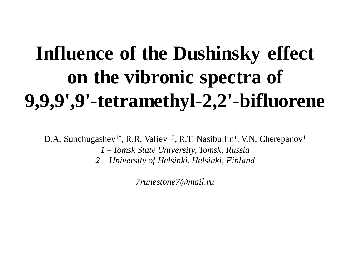## **Influence of the Dushinsky effect on the vibronic spectra of 9,9,9',9'-tetramethyl-2,2'-bifluorene**

D.A. Sunchugashev<sup>1\*</sup>, R.R. Valiev<sup>1,2</sup>, R.T. Nasibullin<sup>1</sup>, V.N. Cherepanov<sup>1</sup> *1 – Tomsk State University, Tomsk, Russia 2 – University of Helsinki, Helsinki, Finland*

*7runestone7@mail.ru*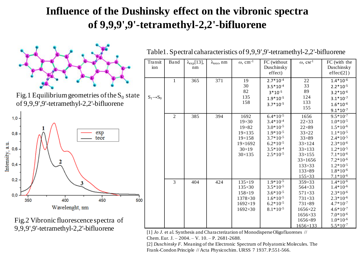## **Influence of the Dushinsky effect on the vibronic spectra of 9,9,9',9'-tetramethyl-2,2'-bifluorene**



Fig.2 Vibronic fluorescence spectra of 9,9,9',9'-tetramethyl-2,2'-bifluorene

| Transit<br>ion        | Band         | $\lambda_{exp}[13]$ ,<br>nm | $\lambda_{\text{teor}}, \text{nm}$ | $\omega$ , cm <sup>-1</sup>                                                                                   | FC (without<br>Duschinsky<br>effect)                                                                                                 | $\omega$ , $cm^{-1}$                                                                                                                                                             | FC (with the<br>Duschinsky<br>$effect[2]$ )                                                                                                                                                           |
|-----------------------|--------------|-----------------------------|------------------------------------|---------------------------------------------------------------------------------------------------------------|--------------------------------------------------------------------------------------------------------------------------------------|----------------------------------------------------------------------------------------------------------------------------------------------------------------------------------|-------------------------------------------------------------------------------------------------------------------------------------------------------------------------------------------------------|
| $S_1 \rightarrow S_0$ | $\mathbf{1}$ | 365                         | 371                                | 19<br>30<br>82<br>135<br>158                                                                                  | $2.7*10^{-4}$<br>$3.5*10-4$<br>$3*10^{-5}$<br>$1.9*10^{-5}$<br>$3.7*10^{-5}$                                                         | 22<br>33<br>89<br>124<br>133<br>155                                                                                                                                              | $1.4*10^{-6}$<br>$2.2*10^{-5}$<br>$3.2*10^{-6}$<br>$3.1*10-7$<br>$1.6*10^{-6}$<br>$9.1*10-7$                                                                                                          |
|                       | 2            | 385                         | 394                                | 1692<br>$19\times30$<br>$19\times82$<br>$19 \times 135$<br>$19\times158$<br>19×1692<br>$30\times19$<br>30×135 | $6.4*10^{-5}$<br>$3.4*10^{-4}$<br>$3.0*10^{-5}$<br>$1.9*10^{-5}$<br>$3.7*10^{-5}$<br>$6.2*10^{-5}$<br>$3.5*10^{-4}$<br>$2.5*10^{-5}$ | 1656<br>$22\times33$<br>$22\times89$<br>$33\times22$<br>$33\times89$<br>$33\times124$<br>$33\times133$<br>$33\times155$<br>33×1656<br>$133\times33$<br>$133 \times 89$<br>155×33 | $9.5*10-7$<br>$1.0*10^{-5}$<br>$1.5*10^{-6}$<br>$1.1*10^{-5}$<br>$2.4*10^{-5}$<br>$2.3*10^{-6}$<br>$1.2*10^{-5}$<br>$7.1*10^{-6}$<br>$7.2*10^{-6}$<br>$1.2*10^{-5}$<br>$1.8*10^{-6}$<br>$7.1*10^{-6}$ |
|                       | 3            | 404                         | 424                                | $135\times19$<br>$135\times30$<br>$158 \times 19$<br>1378×30<br>$1692 \times 19$<br>1692×30                   | $1.9*10^{-5}$<br>$3.5*10^{-5}$<br>$3.6*10^{-5}$<br>$1.6*10^{-5}$<br>$6.2*10^{-5}$<br>$8.1*10^{-5}$                                   | 359×33<br>564×33<br>$571 \times 33$<br>731×33<br>$731\times89$<br>1656×22<br>$1656 \times 33$<br>1656×89<br>1656×133                                                             | $1.4*10^{-6}$<br>$1.4*10^{-6}$<br>$2.3*10^{-6}$<br>$2.3*10^{-6}$<br>$4.7*10^{-7}$<br>$4.6*10-7$<br>$7.0*10-6$<br>$1.0*10^{-6}$<br>$5.5*10^{-7}$                                                       |

Table1. Spectral caharacteristics of 9,9,9',9'-tetramethyl-2,2'-bifluorene

[1] *Jo J.* et al. Synthesis and Characterization of Monodisperse Oligofluorenes // Chem. Eur. J. – 2004. – V. 10. – P. 2681-2688.

[2] *Duschinsky F.* Meaning of the Electronic Spectrum of Polyatomic Molecules. The Frank-Condon Principle // Acta Physicochim. URSS 7 1937. P.551-566.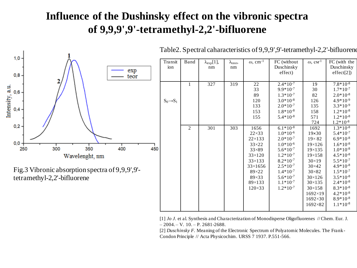## **Influence of the Dushinsky effect on the vibronic spectra of 9,9,9',9'-tetramethyl-2,2'-bifluorene**

 $\overline{T}$ 



Table2. Spectral caharacteristics of 9,9,9',9'-tetramethyl-2,2'-bifluorene

| Transit<br>ion        | Band           | $\lambda_{\exp}[1],$<br>nm | $\lambda_{\text{teor}},$<br>nm | $\omega$ , cm <sup>-1</sup>                                                                                                                                  | FC (without<br>Duschinsky<br>effect)                                                                                                                                                   | $\omega$ , $cm^{-1}$                                                                                                                                                                                                                                             | FC (with the<br>Duschinsky<br>effect[2]                                                                                                                                                                                                  |
|-----------------------|----------------|----------------------------|--------------------------------|--------------------------------------------------------------------------------------------------------------------------------------------------------------|----------------------------------------------------------------------------------------------------------------------------------------------------------------------------------------|------------------------------------------------------------------------------------------------------------------------------------------------------------------------------------------------------------------------------------------------------------------|------------------------------------------------------------------------------------------------------------------------------------------------------------------------------------------------------------------------------------------|
| $S_0 \rightarrow S_1$ | $\mathbf{1}$   | 327                        | 319                            | 22<br>33<br>89<br>120<br>133<br>153<br>155                                                                                                                   | $2.4*10^{-7}$<br>$9.9*10-7$<br>$1.3*10-7$<br>$3.0*10-8$<br>$2.0*10-7$<br>$1.8*10-8$<br>$5.4*10-8$                                                                                      | 19<br>30<br>82<br>126<br>135<br>158<br>571                                                                                                                                                                                                                       | $7.8*10-8$<br>$1.7*10^{-7}$<br>$2.0*10-8$<br>$4.9*10^{-9}$<br>$3.3*10-9$<br>$1.2*10-8$<br>$1.2*10-8$                                                                                                                                     |
|                       | $\overline{c}$ | 301                        | 303                            | 1656<br>$22\times33$<br>$22 \times 133$<br>$33\times22$<br>$33\times89$<br>$33\times120$<br>33×133<br>33×1656<br>89×22<br>89×33<br>89×133<br>$120 \times 33$ | $6.1*10^{-8}$<br>$1.0*10^{-6}$<br>$2.0*10^{-7}$<br>$1.0*10^{-6}$<br>$5.6*10-7$<br>$1.2*10-7$<br>$8.2*10-7$<br>$2.5*10-7$<br>$1.4*10^{-7}$<br>$5.6*10-7$<br>$1.1*10-7$<br>$1.2*10^{-7}$ | 724<br>1692<br>$19\times30$<br>$19 \times 82$<br>$19 \times 126$<br>$19 \times 135$<br>$19 \times 158$<br>$30\times19$<br>$30\times42$<br>$30 \times 82$<br>$30\times126$<br>$30 \times 135$<br>$30\times158$<br>$1692 \times 19$<br>1692×30<br>$1692 \times 82$ | $1.2*10-8$<br>$1.3*10-8$<br>$5.4*10^{-7}$<br>$6.9*10-8$<br>$1.6*10-8$<br>$1.0*10-8$<br>$4.5*10-8$<br>$5.5*10^{-7}$<br>$4.9*10^{-8}$<br>$1.5*10-7$<br>$3.5*10-8$<br>$2.4*10-8$<br>$8.3*10-8$<br>$4.2*10-8$<br>$8.9*10^{-8}$<br>$1.1*10-8$ |

[1] *Jo J.* et al. Synthesis and Characterization of Monodisperse Oligofluorenes // Chem. Eur. J.  $-2004 - V.$  10.  $- P. 2681 - 2688.$ 

[2] *Duschinsky F.* Meaning of the Electronic Spectrum of Polyatomic Molecules. The Frank-Condon Principle // Acta Physicochim. URSS 7 1937. P.551-566.